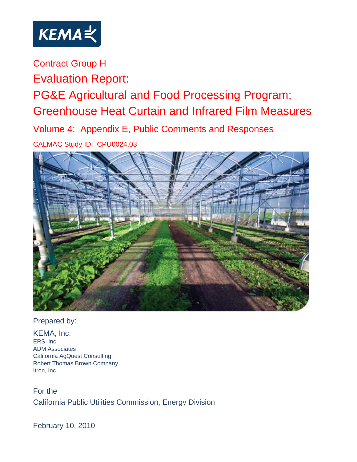

# Contract Group H

Evaluation Report:

PG&E Agricultural and Food Processing Program; Greenhouse Heat Curtain and Infrared Film Measures

Volume 4: Appendix E, Public Comments and Responses

CALMAC Study ID: CPU0024.03



## Prepared by:

KEMA, Inc. ERS, Inc. ADM Associates California AgQuest Consulting Robert Thomas Brown Company Itron, Inc.

For the California Public Utilities Commission, Energy Division

February 10, 2010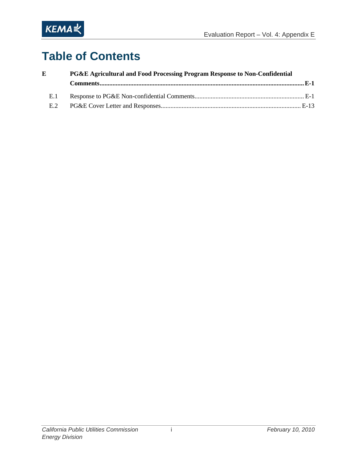

# **Table of Contents**

| E   | <b>PG&amp;E Agricultural and Food Processing Program Response to Non-Confidential</b> |  |  |  |  |
|-----|---------------------------------------------------------------------------------------|--|--|--|--|
|     |                                                                                       |  |  |  |  |
| E.1 |                                                                                       |  |  |  |  |
| E.2 |                                                                                       |  |  |  |  |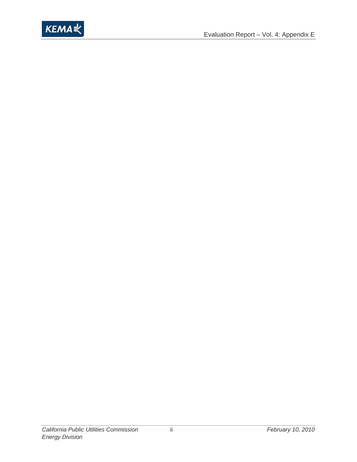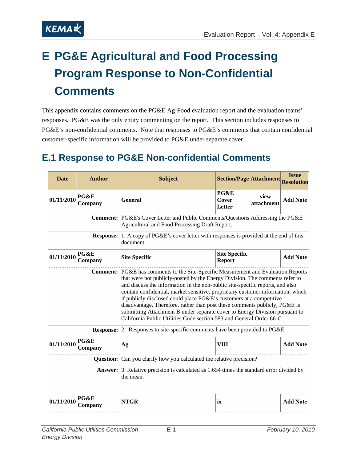<span id="page-4-0"></span>

# **E PG&E Agricultural and Food Processing Program Response to Non-Confidential Comments**

This appendix contains comments on the PG&E Ag-Food evaluation report and the evaluation teams' responses. PG&E was the only entity commenting on the report. This section includes responses to PG&E's non-confidential comments. Note that responses to PG&E's comments that contain confidential customer-specific information will be provided to PG&E under separate cover.

## **E.1 Response to PG&E Non-confidential Comments**

| <b>Date</b> | <b>Author</b>    | <b>Subject</b>                                                                                                                                                                                                                                                                                                                                                                                                                                                                                                                                              | <b>Section/Page Attachment</b>        |                    | <b>Issue</b><br><b>Resolution</b> |  |
|-------------|------------------|-------------------------------------------------------------------------------------------------------------------------------------------------------------------------------------------------------------------------------------------------------------------------------------------------------------------------------------------------------------------------------------------------------------------------------------------------------------------------------------------------------------------------------------------------------------|---------------------------------------|--------------------|-----------------------------------|--|
| 01/11/2010  | PG&E<br>Company  | <b>General</b>                                                                                                                                                                                                                                                                                                                                                                                                                                                                                                                                              | PG&E<br>Cover<br>Letter               | view<br>attachment | <b>Add Note</b>                   |  |
|             |                  | <b>Comment:</b> PG&E's Cover Letter and Public Comments/Questions Addressing the PG&E<br>Agricultural and Food Processing Draft Report.                                                                                                                                                                                                                                                                                                                                                                                                                     |                                       |                    |                                   |  |
|             | <b>Response:</b> | 1. A copy of PG&E's cover letter with responses is provided at the end of this<br>document.                                                                                                                                                                                                                                                                                                                                                                                                                                                                 |                                       |                    |                                   |  |
| 01/11/2010  | PG&E<br>Company  | <b>Site Specific</b>                                                                                                                                                                                                                                                                                                                                                                                                                                                                                                                                        | <b>Site Specific</b><br><b>Report</b> |                    | <b>Add Note</b>                   |  |
|             |                  | that were not publicly-posted by the Energy Division. The comments refer to<br>and discuss the information in the non-public site-specific reports, and also<br>contain confidential, market sensitive, proprietary customer information, which<br>if publicly disclosed could place PG&E's customers at a competitive<br>disadvantage. Therefore, rather than post these comments publicly, PG&E is<br>submitting Attachment B under separate cover to Energy Division pursuant to<br>California Public Utilities Code section 583 and General Order 66-C. |                                       |                    |                                   |  |
|             | <b>Response:</b> | 2. Responses to site-specific comments have been provided to PG&E.                                                                                                                                                                                                                                                                                                                                                                                                                                                                                          |                                       |                    |                                   |  |
| 01/11/2010  | PG&E<br>Company  | Ag                                                                                                                                                                                                                                                                                                                                                                                                                                                                                                                                                          | <b>VIII</b>                           |                    | <b>Add Note</b>                   |  |
|             |                  | <b>Question:</b> Can you clarify how you calculated the relative precision?                                                                                                                                                                                                                                                                                                                                                                                                                                                                                 |                                       |                    |                                   |  |
|             |                  | <b>Answer:</b> 3. Relative precision is calculated as 1.654 times the standard error divided by<br>the mean.                                                                                                                                                                                                                                                                                                                                                                                                                                                |                                       |                    |                                   |  |
| 01/11/2010  | PG&E<br>Company  | <b>NTGR</b>                                                                                                                                                                                                                                                                                                                                                                                                                                                                                                                                                 | ix                                    |                    | <b>Add Note</b>                   |  |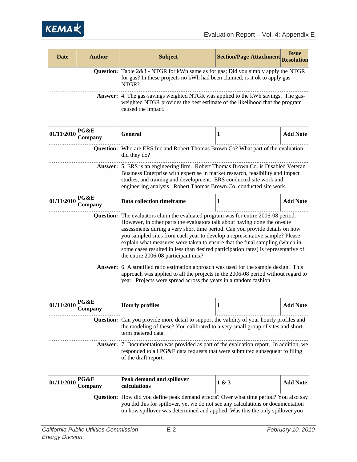

| <b>Date</b> | <b>Author</b>   | <b>Subject</b>                                                                                                                                                                                                                                                                                                                                                                                                                                                                                                                              | <b>Section/Page Attachment</b> |  | <b>Issue</b><br><b>Resolution</b> |  |
|-------------|-----------------|---------------------------------------------------------------------------------------------------------------------------------------------------------------------------------------------------------------------------------------------------------------------------------------------------------------------------------------------------------------------------------------------------------------------------------------------------------------------------------------------------------------------------------------------|--------------------------------|--|-----------------------------------|--|
|             |                 | <b>Question:</b> Table $2\&3$ - NTGR for kWh same as for gas; Did you simply apply the NTGR<br>for gas? In these projects no kWh had been claimed; is it ok to apply gas<br>NTGR?                                                                                                                                                                                                                                                                                                                                                           |                                |  |                                   |  |
| Answer:     |                 | 4. The gas-savings weighted NTGR was applied to the kWh savings. The gas-<br>weighted NTGR provides the best estimate of the likelihood that the program<br>caused the impact.                                                                                                                                                                                                                                                                                                                                                              |                                |  |                                   |  |
| 01/11/2010  | PG&E<br>Company | <b>General</b>                                                                                                                                                                                                                                                                                                                                                                                                                                                                                                                              | 1                              |  | <b>Add Note</b>                   |  |
|             |                 | <b>Question:</b> Who are ERS Inc and Robert Thomas Brown Co? What part of the evaluation<br>did they do?                                                                                                                                                                                                                                                                                                                                                                                                                                    |                                |  |                                   |  |
|             |                 | <b>Answer:</b> 5. ERS is an engineering firm. Robert Thomas Brown Co. is Disabled Veteran<br>Business Enterprise with expertise in market research, feasibility and impact<br>studies, and training and development. ERS conducted site work and<br>engineering analysis. Robert Thomas Brown Co. conducted site work.                                                                                                                                                                                                                      |                                |  |                                   |  |
| 01/11/2010  | PG&E<br>Company | <b>Data collection timeframe</b>                                                                                                                                                                                                                                                                                                                                                                                                                                                                                                            | 1                              |  | <b>Add Note</b>                   |  |
|             |                 | Question: The evaluators claim the evaluated program was for entire 2006-08 period.<br>However, in other parts the evaluators talk about having done the on-site<br>assessments during a very short time period. Can you provide details on how<br>you sampled sites from each year to develop a representative sample? Please<br>explain what measures were taken to ensure that the final sampling (which in<br>some cases resulted in less than desired participation rates) is representative of<br>the entire 2006-08 participant mix? |                                |  |                                   |  |
|             |                 | <b>Answer:</b> 6. A stratified ratio estimation approach was used for the sample design. This<br>approach was applied to all the projects in the 2006-08 period without regard to<br>year. Projects were spread across the years in a random fashion.                                                                                                                                                                                                                                                                                       |                                |  |                                   |  |
| 01/11/2010  | PG&E<br>Company | <b>Hourly profiles</b>                                                                                                                                                                                                                                                                                                                                                                                                                                                                                                                      | 1                              |  | <b>Add Note</b>                   |  |
|             |                 | <b>Question:</b> Can you provide more detail to support the validity of your hourly profiles and<br>the modeling of these? You calibrated to a very small group of sites and short-<br>term metered data.                                                                                                                                                                                                                                                                                                                                   |                                |  |                                   |  |
| Answer:     |                 | 7. Documentation was provided as part of the evaluation report. In addition, we<br>responded to all PG&E data requests that were submitted subsequent to filing<br>of the draft report.                                                                                                                                                                                                                                                                                                                                                     |                                |  |                                   |  |
| 01/11/2010  | PG&E<br>Company | Peak demand and spillover<br>calculations                                                                                                                                                                                                                                                                                                                                                                                                                                                                                                   | 1 & 3                          |  | <b>Add Note</b>                   |  |
|             |                 | <b>Question:</b> How did you define peak demand effects? Over what time period? You also say<br>you did this for spillover, yet we do not see any calculations or documentation<br>on how spillover was determined and applied. Was this the only spillover you                                                                                                                                                                                                                                                                             |                                |  |                                   |  |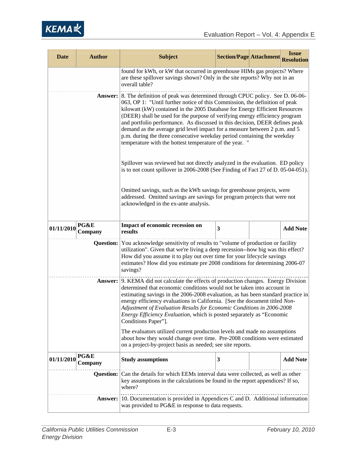



| <b>Date</b> | <b>Author</b>   | <b>Subject</b>                                                                                                                                                                                                                                                                                                                                                                                                                                                                                                                                                                                                                      | <b>Section/Page Attachment</b> |  | <b>Issue</b><br><b>Resolution</b> |  |
|-------------|-----------------|-------------------------------------------------------------------------------------------------------------------------------------------------------------------------------------------------------------------------------------------------------------------------------------------------------------------------------------------------------------------------------------------------------------------------------------------------------------------------------------------------------------------------------------------------------------------------------------------------------------------------------------|--------------------------------|--|-----------------------------------|--|
|             |                 | found for kWh, or kW that occurred in greenhouse HIMs gas projects? Where<br>are these spillover savings shown? Only in the site reports? Why not in an<br>overall table?                                                                                                                                                                                                                                                                                                                                                                                                                                                           |                                |  |                                   |  |
|             |                 | Answer: 8. The definition of peak was determined through CPUC policy. See D. 06-06-<br>063, OP 1: "Until further notice of this Commission, the definition of peak<br>kilowatt (kW) contained in the 2005 Database for Energy Efficient Resources<br>(DEER) shall be used for the purpose of verifying energy efficiency program<br>and portfolio performance. As discussed in this decision, DEER defines peak<br>demand as the average grid level impact for a measure between 2 p.m. and 5<br>p.m. during the three consecutive weekday period containing the weekday<br>temperature with the hottest temperature of the year. " |                                |  |                                   |  |
|             |                 | Spillover was reviewed but not directly analyzed in the evaluation. ED policy<br>is to not count spillover in 2006-2008 (See Finding of Fact 27 of D. 05-04-051).                                                                                                                                                                                                                                                                                                                                                                                                                                                                   |                                |  |                                   |  |
|             |                 | Omitted savings, such as the kWh savings for greenhouse projects, were<br>addressed. Omitted savings are savings for program projects that were not<br>acknowledged in the ex-ante analysis.                                                                                                                                                                                                                                                                                                                                                                                                                                        |                                |  |                                   |  |
| 01/11/2010  | PG&E<br>Company | Impact of economic recession on<br>results                                                                                                                                                                                                                                                                                                                                                                                                                                                                                                                                                                                          | 3                              |  | <b>Add Note</b>                   |  |
|             |                 | <b>Question:</b> You acknowledge sensitivity of results to "volume of production or facility<br>utilization". Given that we're living a deep recession--how big was this effect?<br>How did you assume it to play out over time for your lifecycle savings<br>estimates? How did you estimate pre 2008 conditions for determining 2006-07<br>savings?                                                                                                                                                                                                                                                                               |                                |  |                                   |  |
|             |                 | <b>Answer:</b> 9. KEMA did not calculate the effects of production changes. Energy Division<br>determined that economic conditions would not be taken into account in<br>estimating savings in the 2006-2008 evaluation, as has been standard practice in<br>energy efficiency evaluations in California. [See the document titled Non-<br>Adjustment of Evaluation Results for Economic Conditions in 2006-2008<br><i>Energy Efficiency Evaluation, which is posted separately as "Economic</i><br>Conditions Paper"].                                                                                                             |                                |  |                                   |  |
|             |                 | The evaluators utilized current production levels and made no assumptions<br>about how they would change over time. Pre-2008 conditions were estimated<br>on a project-by-project basis as needed; see site reports.                                                                                                                                                                                                                                                                                                                                                                                                                |                                |  |                                   |  |
| 01/11/2010  | PG&E<br>Company | <b>Study assumptions</b>                                                                                                                                                                                                                                                                                                                                                                                                                                                                                                                                                                                                            | 3                              |  | <b>Add Note</b>                   |  |
|             |                 | Question: Can the details for which EEMs interval data were collected, as well as other<br>key assumptions in the calculations be found in the report appendices? If so,<br>where?                                                                                                                                                                                                                                                                                                                                                                                                                                                  |                                |  |                                   |  |
|             | Answer:         | 10. Documentation is provided in Appendices C and D. Additional information<br>was provided to PG&E in response to data requests.                                                                                                                                                                                                                                                                                                                                                                                                                                                                                                   |                                |  |                                   |  |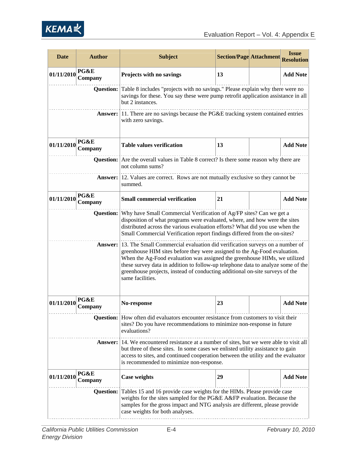

| <b>Date</b> | <b>Author</b>   | <b>Subject</b>                                                                                                                                                                                                                                                                                                                                                                                                                        | <b>Section/Page Attachment</b> |  | <b>Issue</b><br><b>Resolution</b> |  |
|-------------|-----------------|---------------------------------------------------------------------------------------------------------------------------------------------------------------------------------------------------------------------------------------------------------------------------------------------------------------------------------------------------------------------------------------------------------------------------------------|--------------------------------|--|-----------------------------------|--|
| 01/11/2010  | PG&E<br>Company | Projects with no savings                                                                                                                                                                                                                                                                                                                                                                                                              | 13                             |  | <b>Add Note</b>                   |  |
|             |                 | <b>Question:</b> Table 8 includes "projects with no savings." Please explain why there were no<br>savings for these. You say these were pump retrofit application assistance in all<br>but 2 instances.                                                                                                                                                                                                                               |                                |  |                                   |  |
|             |                 | <b>Answer:</b> 11. There are no savings because the PG&E tracking system contained entries<br>with zero savings.                                                                                                                                                                                                                                                                                                                      |                                |  |                                   |  |
| 01/11/2010  | PG&E<br>Company | <b>Table values verification</b>                                                                                                                                                                                                                                                                                                                                                                                                      | 13                             |  | <b>Add Note</b>                   |  |
|             |                 | <b>Question:</b> Are the overall values in Table 8 correct? Is there some reason why there are<br>not column sums?                                                                                                                                                                                                                                                                                                                    |                                |  |                                   |  |
|             |                 | <b>Answer:</b> 12. Values are correct. Rows are not mutually exclusive so they cannot be<br>summed.                                                                                                                                                                                                                                                                                                                                   |                                |  |                                   |  |
| 01/11/2010  | PG&E<br>Company | <b>Small commercial verification</b>                                                                                                                                                                                                                                                                                                                                                                                                  | 21                             |  | <b>Add Note</b>                   |  |
|             |                 | Question: Why have Small Commercial Verification of Ag/FP sites? Can we get a<br>disposition of what programs were evaluated, where, and how were the sites<br>distributed across the various evaluation efforts? What did you use when the<br>Small Commercial Verification report findings differed from the on-sites?                                                                                                              |                                |  |                                   |  |
|             |                 | Answer: 13. The Small Commercial evaluation did verification surveys on a number of<br>greenhouse HIM sites before they were assigned to the Ag-Food evaluation.<br>When the Ag-Food evaluation was assigned the greenhouse HIMs, we utilized<br>these survey data in addition to follow-up telephone data to analyze some of the<br>greenhouse projects, instead of conducting additional on-site surveys of the<br>same facilities. |                                |  |                                   |  |
| 01/11/2010  | PG&E<br>Company | No-response                                                                                                                                                                                                                                                                                                                                                                                                                           | 23                             |  | <b>Add Note</b>                   |  |
|             |                 | <b>Question:</b> How often did evaluators encounter resistance from customers to visit their<br>sites? Do you have recommendations to minimize non-response in future<br>evaluations?                                                                                                                                                                                                                                                 |                                |  |                                   |  |
|             |                 | <b>Answer:</b> 14. We encountered resistance at a number of sites, but we were able to visit all<br>but three of these sites. In some cases we enlisted utility assistance to gain<br>access to sites, and continued cooperation between the utility and the evaluator<br>is recommended to minimize non-response.                                                                                                                    |                                |  |                                   |  |
| 01/11/2010  | PG&E<br>Company | <b>Case weights</b>                                                                                                                                                                                                                                                                                                                                                                                                                   | 29                             |  | <b>Add Note</b>                   |  |
|             |                 | Question: Tables 15 and 16 provide case weights for the HIMs. Please provide case<br>weights for the sites sampled for the PG&E A&FP evaluation. Because the<br>samples for the gross impact and NTG analysis are different, please provide<br>case weights for both analyses.                                                                                                                                                        |                                |  |                                   |  |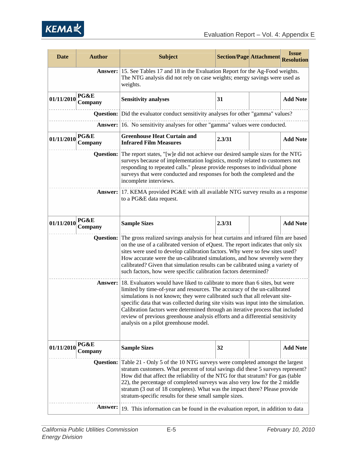

| <b>Date</b>                                                                                                                                                                                                                                                                                                                                                                                                                                                                       | <b>Author</b>   | <b>Subject</b>                                                                                                                                                                                                                                                                                                                                                                                                                                                                                                                           | <b>Section/Page Attachment</b> |  | <b>Issue</b><br><b>Resolution</b> |  |
|-----------------------------------------------------------------------------------------------------------------------------------------------------------------------------------------------------------------------------------------------------------------------------------------------------------------------------------------------------------------------------------------------------------------------------------------------------------------------------------|-----------------|------------------------------------------------------------------------------------------------------------------------------------------------------------------------------------------------------------------------------------------------------------------------------------------------------------------------------------------------------------------------------------------------------------------------------------------------------------------------------------------------------------------------------------------|--------------------------------|--|-----------------------------------|--|
|                                                                                                                                                                                                                                                                                                                                                                                                                                                                                   | <b>Answer:</b>  | 15. See Tables 17 and 18 in the Evaluation Report for the Ag-Food weights.<br>The NTG analysis did not rely on case weights; energy savings were used as<br>weights.                                                                                                                                                                                                                                                                                                                                                                     |                                |  |                                   |  |
| 01/11/2010                                                                                                                                                                                                                                                                                                                                                                                                                                                                        | PG&E<br>Company | <b>Sensitivity analyses</b>                                                                                                                                                                                                                                                                                                                                                                                                                                                                                                              | 31                             |  | <b>Add Note</b>                   |  |
|                                                                                                                                                                                                                                                                                                                                                                                                                                                                                   |                 | Question:   Did the evaluator conduct sensitivity analyses for other "gamma" values?                                                                                                                                                                                                                                                                                                                                                                                                                                                     |                                |  |                                   |  |
|                                                                                                                                                                                                                                                                                                                                                                                                                                                                                   |                 | <b>Answer:</b> 16. No sensitivity analyses for other "gamma" values were conducted.                                                                                                                                                                                                                                                                                                                                                                                                                                                      |                                |  |                                   |  |
| 01/11/2010                                                                                                                                                                                                                                                                                                                                                                                                                                                                        | PG&E<br>Company | <b>Greenhouse Heat Curtain and</b><br><b>Infrared Film Measures</b>                                                                                                                                                                                                                                                                                                                                                                                                                                                                      | 2.3/31                         |  | <b>Add Note</b>                   |  |
|                                                                                                                                                                                                                                                                                                                                                                                                                                                                                   |                 | <b>Question:</b> The report states, "[w]e did not achieve our desired sample sizes for the NTG<br>surveys because of implementation logistics, mostly related to customers not<br>responding to repeated calls." please provide responses to individual phone<br>surveys that were conducted and responses for both the completed and the<br>incomplete interviews.                                                                                                                                                                      |                                |  |                                   |  |
|                                                                                                                                                                                                                                                                                                                                                                                                                                                                                   | Answer:         | 17. KEMA provided PG&E with all available NTG survey results as a response<br>to a PG&E data request.                                                                                                                                                                                                                                                                                                                                                                                                                                    |                                |  |                                   |  |
| 01/11/2010                                                                                                                                                                                                                                                                                                                                                                                                                                                                        | PG&E<br>Company | <b>Sample Sizes</b>                                                                                                                                                                                                                                                                                                                                                                                                                                                                                                                      | 2.3/31                         |  | <b>Add Note</b>                   |  |
|                                                                                                                                                                                                                                                                                                                                                                                                                                                                                   |                 | <b>Question:</b> The gross realized savings analysis for heat curtains and infrared film are based<br>on the use of a calibrated version of eQuest. The report indicates that only six<br>sites were used to develop calibration factors. Why were so few sites used?<br>How accurate were the un-calibrated simulations, and how severely were they<br>calibrated? Given that simulation results can be calibrated using a variety of<br>such factors, how were specific calibration factors determined?                                |                                |  |                                   |  |
|                                                                                                                                                                                                                                                                                                                                                                                                                                                                                   | <b>Answer:</b>  | 18. Evaluators would have liked to calibrate to more than 6 sites, but were<br>limited by time-of-year and resources. The accuracy of the un-calibrated<br>simulations is not known; they were calibrated such that all relevant site-<br>specific data that was collected during site visits was input into the simulation.<br>Calibration factors were determined through an iterative process that included<br>review of previous greenhouse analysis efforts and a differential sensitivity<br>analysis on a pilot greenhouse model. |                                |  |                                   |  |
| 01/11/2010                                                                                                                                                                                                                                                                                                                                                                                                                                                                        | PG&E<br>Company | <b>Sample Sizes</b>                                                                                                                                                                                                                                                                                                                                                                                                                                                                                                                      | 32                             |  | <b>Add Note</b>                   |  |
| Question: Table 21 - Only 5 of the 10 NTG surveys were completed amongst the largest<br>stratum customers. What percent of total savings did these 5 surveys represent?<br>How did that affect the reliability of the NTG for that stratum? For gas (table<br>22), the percentage of completed surveys was also very low for the 2 middle<br>stratum (3 out of 18 completes). What was the impact there? Please provide<br>stratum-specific results for these small sample sizes. |                 |                                                                                                                                                                                                                                                                                                                                                                                                                                                                                                                                          |                                |  |                                   |  |
|                                                                                                                                                                                                                                                                                                                                                                                                                                                                                   | <b>Answer:</b>  | 19. This information can be found in the evaluation report, in addition to data                                                                                                                                                                                                                                                                                                                                                                                                                                                          |                                |  |                                   |  |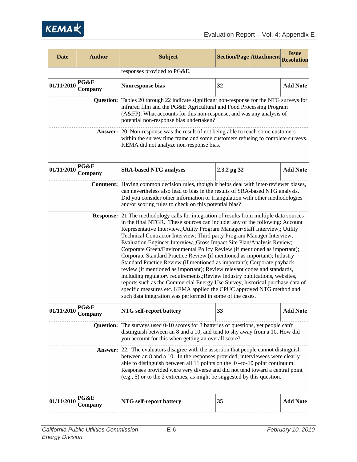

| <b>Date</b> | <b>Author</b>   | <b>Subject</b>                                                                                                                                                                                                                                                                                                                                                                                                                                                                                                                                                                                                                                                                                                                                                                                                                                                                                                                                                                                                                         | <b>Section/Page Attachment</b> |  | <b>Issue</b><br><b>Resolution</b> |  |
|-------------|-----------------|----------------------------------------------------------------------------------------------------------------------------------------------------------------------------------------------------------------------------------------------------------------------------------------------------------------------------------------------------------------------------------------------------------------------------------------------------------------------------------------------------------------------------------------------------------------------------------------------------------------------------------------------------------------------------------------------------------------------------------------------------------------------------------------------------------------------------------------------------------------------------------------------------------------------------------------------------------------------------------------------------------------------------------------|--------------------------------|--|-----------------------------------|--|
|             |                 | responses provided to PG&E.                                                                                                                                                                                                                                                                                                                                                                                                                                                                                                                                                                                                                                                                                                                                                                                                                                                                                                                                                                                                            |                                |  |                                   |  |
| 01/11/2010  | PG&E<br>Company | Nonresponse bias                                                                                                                                                                                                                                                                                                                                                                                                                                                                                                                                                                                                                                                                                                                                                                                                                                                                                                                                                                                                                       | 32                             |  | <b>Add Note</b>                   |  |
|             |                 | <b>Question:</b> Tables 20 through 22 indicate significant non-response for the NTG surveys for<br>infrared film and the PG&E Agricultural and Food Processing Program<br>(A&FP). What accounts for this non-response, and was any analysis of<br>potential non-response bias undertaken?                                                                                                                                                                                                                                                                                                                                                                                                                                                                                                                                                                                                                                                                                                                                              |                                |  |                                   |  |
|             |                 | <b>Answer:</b> 20. Non-response was the result of not being able to reach some customers<br>within the survey time frame and some customers refusing to complete surveys.<br>KEMA did not analyze non-response bias.                                                                                                                                                                                                                                                                                                                                                                                                                                                                                                                                                                                                                                                                                                                                                                                                                   |                                |  |                                   |  |
| 01/11/2010  | PG&E<br>Company | <b>SRA-based NTG analyses</b>                                                                                                                                                                                                                                                                                                                                                                                                                                                                                                                                                                                                                                                                                                                                                                                                                                                                                                                                                                                                          | 2.3.2 pg 32                    |  | <b>Add Note</b>                   |  |
|             |                 | <b>Comment:</b> Having common decision rules, though it helps deal with inter-reviewer biases,<br>can nevertheless also lead to bias in the results of SRA-based NTG analysis.<br>Did you consider other information or triangulation with other methodologies<br>and/or scoring rules to check on this potential bias?                                                                                                                                                                                                                                                                                                                                                                                                                                                                                                                                                                                                                                                                                                                |                                |  |                                   |  |
|             |                 | <b>Response:</b> 21 The methodology calls for integration of results from multiple data sources<br>in the final NTGR. These sources can include: any of the following: Account<br>Representative Interview,; Utility Program Manager/Staff Interview,; Utility<br>Technical Contractor Interview; Third party Program Manager Interview;<br>Evaluation Engineer Interview,;Gross Impact Site Plan/Analysis Review;<br>Corporate Green/Environmental Policy Review (if mentioned as important);<br>Corporate Standard Practice Review (if mentioned as important); Industry<br>Standard Practice Review (if mentioned as important); Corporate payback<br>review (if mentioned as important); Review relevant codes and standards,<br>including regulatory requirements,; Review industry publications, websites,<br>reports such as the Commercial Energy Use Survey, historical purchase data of<br>specific measures etc. KEMA applied the CPUC approved NTG method and<br>such data integration was performed in some of the cases. |                                |  |                                   |  |
| 01/11/2010  | PG&E<br>Company | NTG self-report battery                                                                                                                                                                                                                                                                                                                                                                                                                                                                                                                                                                                                                                                                                                                                                                                                                                                                                                                                                                                                                | 33                             |  | <b>Add Note</b>                   |  |
|             |                 | Question: The surveys used 0-10 scores for 3 batteries of questions, yet people can't<br>distinguish between an 8 and a 10, and tend to shy away from a 10. How did<br>you account for this when getting an overall score?                                                                                                                                                                                                                                                                                                                                                                                                                                                                                                                                                                                                                                                                                                                                                                                                             |                                |  |                                   |  |
|             |                 | <b>Answer:</b> 22. The evaluators disagree with the assertion that people cannot distinguish<br>between an 8 and a 10. In the responses provided, interviewees were clearly<br>able to distinguish between all 11 points on the $0$ -to-10 point continuum.<br>Responses provided were very diverse and did not tend toward a central point<br>(e.g., 5) or to the 2 extremes, as might be suggested by this question.                                                                                                                                                                                                                                                                                                                                                                                                                                                                                                                                                                                                                 |                                |  |                                   |  |
| 01/11/2010  | PG&E<br>Company | NTG self-report battery                                                                                                                                                                                                                                                                                                                                                                                                                                                                                                                                                                                                                                                                                                                                                                                                                                                                                                                                                                                                                | 35                             |  | <b>Add Note</b>                   |  |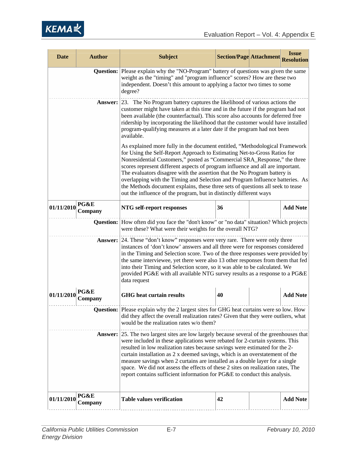



| <b>Date</b>                                                                                                                                                                                                                                                                                                                                                                                                                                                                                                                                                                                                                                  | <b>Author</b>   | <b>Subject</b>                                                                                                                                                                                                                                                                                                                                                                                                                                                                                                                                                                           | <b>Section/Page Attachment</b> |  | <b>Issue</b><br><b>Resolution</b> |  |
|----------------------------------------------------------------------------------------------------------------------------------------------------------------------------------------------------------------------------------------------------------------------------------------------------------------------------------------------------------------------------------------------------------------------------------------------------------------------------------------------------------------------------------------------------------------------------------------------------------------------------------------------|-----------------|------------------------------------------------------------------------------------------------------------------------------------------------------------------------------------------------------------------------------------------------------------------------------------------------------------------------------------------------------------------------------------------------------------------------------------------------------------------------------------------------------------------------------------------------------------------------------------------|--------------------------------|--|-----------------------------------|--|
|                                                                                                                                                                                                                                                                                                                                                                                                                                                                                                                                                                                                                                              |                 | <b>Question:</b> Please explain why the "NO-Program" battery of questions was given the same<br>weight as the "timing" and "program influence" scores? How are these two<br>independent. Doesn't this amount to applying a factor two times to some<br>degree?                                                                                                                                                                                                                                                                                                                           |                                |  |                                   |  |
|                                                                                                                                                                                                                                                                                                                                                                                                                                                                                                                                                                                                                                              | <b>Answer:</b>  | 23. The No Program battery captures the likelihood of various actions the<br>customer might have taken at this time and in the future if the program had not<br>been available (the counterfactual). This score also accounts for deferred free<br>ridership by incorporating the likelihood that the customer would have installed<br>program-qualifying measures at a later date if the program had not been<br>available.                                                                                                                                                             |                                |  |                                   |  |
| As explained more fully in the document entitled, "Methodological Framework<br>for Using the Self-Report Approach to Estimating Net-to-Gross Ratios for<br>Nonresidential Customers," posted as "Commercial SRA_Response," the three<br>scores represent different aspects of program influence and all are important.<br>The evaluators disagree with the assertion that the No Program battery is<br>overlapping with the Timing and Selection and Program Influence batteries. As<br>the Methods document explains, these three sets of questions all seek to tease<br>out the influence of the program, but in distinctly different ways |                 |                                                                                                                                                                                                                                                                                                                                                                                                                                                                                                                                                                                          |                                |  |                                   |  |
| 01/11/2010                                                                                                                                                                                                                                                                                                                                                                                                                                                                                                                                                                                                                                   | PG&E<br>Company | NTG self-report responses                                                                                                                                                                                                                                                                                                                                                                                                                                                                                                                                                                | 36                             |  | <b>Add Note</b>                   |  |
|                                                                                                                                                                                                                                                                                                                                                                                                                                                                                                                                                                                                                                              |                 | Question: How often did you face the "don't know" or "no data" situation? Which projects<br>were these? What were their weights for the overall NTG?                                                                                                                                                                                                                                                                                                                                                                                                                                     |                                |  |                                   |  |
|                                                                                                                                                                                                                                                                                                                                                                                                                                                                                                                                                                                                                                              |                 | Answer: 24. These "don't know" responses were very rare. There were only three<br>instances of 'don't know' answers and all three were for responses considered<br>in the Timing and Selection score. Two of the three responses were provided by<br>the same interviewee, yet there were also 13 other responses from them that fed<br>into their Timing and Selection score, so it was able to be calculated. We<br>provided PG&E with all available NTG survey results as a response to a PG&E<br>data request                                                                        |                                |  |                                   |  |
| 01/11/2010                                                                                                                                                                                                                                                                                                                                                                                                                                                                                                                                                                                                                                   | PG&E<br>Company | <b>GHG</b> heat curtain results                                                                                                                                                                                                                                                                                                                                                                                                                                                                                                                                                          | 40                             |  | <b>Add Note</b>                   |  |
|                                                                                                                                                                                                                                                                                                                                                                                                                                                                                                                                                                                                                                              |                 | <b>Question:</b> Please explain why the 2 largest sites for GHG heat curtains were so low. How<br>did they affect the overall realization rates? Given that they were outliers, what<br>would be the realization rates w/o them?                                                                                                                                                                                                                                                                                                                                                         |                                |  |                                   |  |
|                                                                                                                                                                                                                                                                                                                                                                                                                                                                                                                                                                                                                                              |                 | Answer: 25. The two largest sites are low largely because several of the greenhouses that<br>were included in these applications were rebated for 2-curtain systems. This<br>resulted in low realization rates because savings were estimated for the 2-<br>curtain installation as 2 x deemed savings, which is an overstatement of the<br>measure savings when 2 curtains are installed as a double layer for a single<br>space. We did not assess the effects of these 2 sites on realization rates, The<br>report contains sufficient information for PG&E to conduct this analysis. |                                |  |                                   |  |
| 01/11/2010                                                                                                                                                                                                                                                                                                                                                                                                                                                                                                                                                                                                                                   | PG&E<br>Company | <b>Table values verification</b>                                                                                                                                                                                                                                                                                                                                                                                                                                                                                                                                                         | 42                             |  | <b>Add Note</b>                   |  |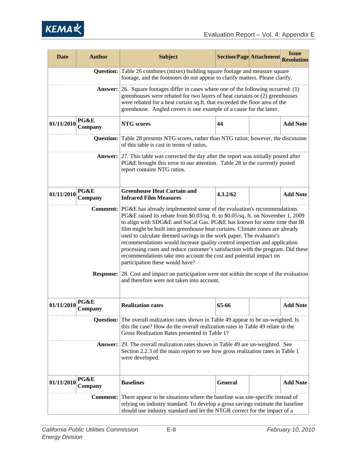

| <b>Date</b> | <b>Author</b>   | <b>Subject</b>                                                                                                                                                                                                                                                                                                                                                                                                                                                                                                                                                                                                                                                                        | <b>Section/Page Attachment</b> |  | <b>Issue</b><br><b>Resolution</b> |  |  |
|-------------|-----------------|---------------------------------------------------------------------------------------------------------------------------------------------------------------------------------------------------------------------------------------------------------------------------------------------------------------------------------------------------------------------------------------------------------------------------------------------------------------------------------------------------------------------------------------------------------------------------------------------------------------------------------------------------------------------------------------|--------------------------------|--|-----------------------------------|--|--|
|             |                 | <b>Question:</b> Table 26 combines (mixes) building square footage and measure square<br>footage, and the footnotes do not appear to clarify matters. Please clarify.                                                                                                                                                                                                                                                                                                                                                                                                                                                                                                                 |                                |  |                                   |  |  |
|             |                 | <b>Answer:</b> 26. Square footages differ in cases where one of the following occurred: (1)<br>greenhouses were rebated for two layers of heat curtains or (2) greenhouses<br>were rebated for a heat curtain sq.ft. that exceeded the floor area of the<br>greenhouse. Angled covers is one example of a cause for the latter.                                                                                                                                                                                                                                                                                                                                                       |                                |  |                                   |  |  |
| 01/11/2010  | PG&E<br>Company | <b>NTG</b> scores                                                                                                                                                                                                                                                                                                                                                                                                                                                                                                                                                                                                                                                                     | 44                             |  | <b>Add Note</b>                   |  |  |
|             |                 | <b>Question:</b> Table 28 presents NTG scores, rather than NTG ratios; however, the discussion<br>of this table is cast in terms of ratios.                                                                                                                                                                                                                                                                                                                                                                                                                                                                                                                                           |                                |  |                                   |  |  |
|             |                 | <b>Answer:</b> 27. This table was corrected the day after the report was initially posted after<br>PG&E brought this error to our attention. Table 28 in the currently posted<br>report contains NTG ratios.                                                                                                                                                                                                                                                                                                                                                                                                                                                                          |                                |  |                                   |  |  |
| 01/11/2010  | PG&E<br>Company | <b>Greenhouse Heat Curtain and</b><br><b>Infrared Film Measures</b>                                                                                                                                                                                                                                                                                                                                                                                                                                                                                                                                                                                                                   | 4.3.2/62                       |  | <b>Add Note</b>                   |  |  |
|             |                 | <b>Comment:</b> PG&E has already implemented some of the evaluation's recommendations.<br>PG&E raised its rebate from \$0.03/sq. ft. to \$0.05/sq. ft. on November 1, 2009<br>to align with SDG&E and SoCal Gas. PG&E has known for some time that IR<br>film might be built into greenhouse heat curtains. Climate zones are already<br>used to calculate deemed savings in the work paper. The evaluator's<br>recommendations would increase quality control inspection and application<br>processing costs and reduce customer's satisfaction with the program. Did these<br>recommendations take into account the cost and potential impact on<br>participation these would have? |                                |  |                                   |  |  |
|             |                 | <b>Response:</b> 28. Cost and impact on participation were not within the scope of the evaluation<br>and therefore were not taken into account.                                                                                                                                                                                                                                                                                                                                                                                                                                                                                                                                       |                                |  |                                   |  |  |
| 01/11/2010  | PG&E<br>Company | <b>Realization rates</b>                                                                                                                                                                                                                                                                                                                                                                                                                                                                                                                                                                                                                                                              | 65-66                          |  | <b>Add Note</b>                   |  |  |
|             |                 | <b>Question:</b> The overall realization rates shown in Table 49 appear to be un-weighted. Is<br>this the case? How do the overall realization rates in Table 49 relate to the<br>Gross Realization Rates presented in Table 1?                                                                                                                                                                                                                                                                                                                                                                                                                                                       |                                |  |                                   |  |  |
|             |                 | <b>Answer:</b> 29. The overall realization rates shown in Table 49 are un-weighted. See<br>Section 2.2.3 of the main report to see how gross realization rates in Table 1<br>were developed.                                                                                                                                                                                                                                                                                                                                                                                                                                                                                          |                                |  |                                   |  |  |
| 01/11/2010  | PG&E<br>Company | <b>Baselines</b>                                                                                                                                                                                                                                                                                                                                                                                                                                                                                                                                                                                                                                                                      | <b>General</b>                 |  | <b>Add Note</b>                   |  |  |
|             |                 | <b>Comment:</b> There appear to be situations where the baseline was site-specific instead of<br>relying on industry standard. To develop a gross savings estimate the baseline<br>should use industry standard and let the NTGR correct for the impact of a                                                                                                                                                                                                                                                                                                                                                                                                                          |                                |  |                                   |  |  |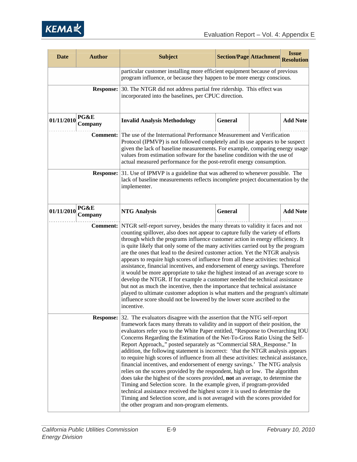

| <b>Date</b> | <b>Author</b>    | <b>Subject</b>                                                                                                                                                                                                                                                                                                                                                                                                                                                                                                                                                                                                                                                                                                                                                                                                                                                                                                                                                                                                                                                                                                                        | <b>Section/Page Attachment</b> |  | <b>Issue</b><br><b>Resolution</b> |
|-------------|------------------|---------------------------------------------------------------------------------------------------------------------------------------------------------------------------------------------------------------------------------------------------------------------------------------------------------------------------------------------------------------------------------------------------------------------------------------------------------------------------------------------------------------------------------------------------------------------------------------------------------------------------------------------------------------------------------------------------------------------------------------------------------------------------------------------------------------------------------------------------------------------------------------------------------------------------------------------------------------------------------------------------------------------------------------------------------------------------------------------------------------------------------------|--------------------------------|--|-----------------------------------|
|             |                  | particular customer installing more efficient equipment because of previous<br>program influence, or because they happen to be more energy conscious.                                                                                                                                                                                                                                                                                                                                                                                                                                                                                                                                                                                                                                                                                                                                                                                                                                                                                                                                                                                 |                                |  |                                   |
|             | <b>Response:</b> | 30. The NTGR did not address partial free ridership. This effect was<br>incorporated into the baselines, per CPUC direction.                                                                                                                                                                                                                                                                                                                                                                                                                                                                                                                                                                                                                                                                                                                                                                                                                                                                                                                                                                                                          |                                |  |                                   |
| 01/11/2010  | PG&E<br>Company  | <b>Invalid Analysis Methodology</b>                                                                                                                                                                                                                                                                                                                                                                                                                                                                                                                                                                                                                                                                                                                                                                                                                                                                                                                                                                                                                                                                                                   | <b>General</b>                 |  | <b>Add Note</b>                   |
|             |                  | <b>Comment:</b> The use of the International Performance Measurement and Verification<br>Protocol (IPMVP) is not followed completely and its use appears to be suspect<br>given the lack of baseline measurements. For example, comparing energy usage<br>values from estimation software for the baseline condition with the use of<br>actual measured performance for the post-retrofit energy consumption.                                                                                                                                                                                                                                                                                                                                                                                                                                                                                                                                                                                                                                                                                                                         |                                |  |                                   |
|             |                  | <b>Response:</b> 31. Use of IPMVP is a guideline that was adhered to whenever possible. The<br>lack of baseline measurements reflects incomplete project documentation by the<br>implementer.                                                                                                                                                                                                                                                                                                                                                                                                                                                                                                                                                                                                                                                                                                                                                                                                                                                                                                                                         |                                |  |                                   |
| 01/11/2010  | PG&E<br>Company  | <b>NTG Analysis</b>                                                                                                                                                                                                                                                                                                                                                                                                                                                                                                                                                                                                                                                                                                                                                                                                                                                                                                                                                                                                                                                                                                                   | <b>General</b>                 |  | <b>Add Note</b>                   |
|             |                  | <b>Comment:</b> NTGR self-report survey, besides the many threats to validity it faces and not<br>counting spillover, also does not appear to capture fully the variety of efforts<br>through which the programs influence customer action in energy efficiency. It<br>is quite likely that only some of the many activities carried out by the program<br>are the ones that lead to the desired customer action. Yet the NTGR analysis<br>appears to require high scores of influence from all these activities: technical<br>assistance, financial incentives, and endorsement of energy savings. Therefore<br>it would be more appropriate to take the highest instead of an average score to<br>develop the NTGR. If for example a customer needed the technical assistance<br>but not as much the incentive, then the importance that technical assistance<br>played to ultimate customer adoption is what matters and the program's ultimate<br>influence score should not be lowered by the lower score ascribed to the<br>incentive.                                                                                          |                                |  |                                   |
|             |                  | <b>Response:</b> 32. The evaluators disagree with the assertion that the NTG self-report<br>framework faces many threats to validity and in support of their position, the<br>evaluators refer you to the White Paper entitled, "Response to Overarching IOU<br>Concerns Regarding the Estimation of the Net-To-Gross Ratio Using the Self-<br>Report Approach,," posted separately as "Commercial SRA_Response." In<br>addition, the following statement is incorrect: 'that the NTGR analysis appears<br>to require high scores of influence from all these activities: technical assistance,<br>financial incentives, and endorsement of energy savings.' The NTG analysis<br>relies on the scores provided by the respondent, high or low. The algorithm<br>does take the highest of the scores provided, not an average, to determine the<br>Timing and Selection score. In the example given, if program-provided<br>technical assistance received the highest score it is used to determine the<br>Timing and Selection score, and is not averaged with the scores provided for<br>the other program and non-program elements. |                                |  |                                   |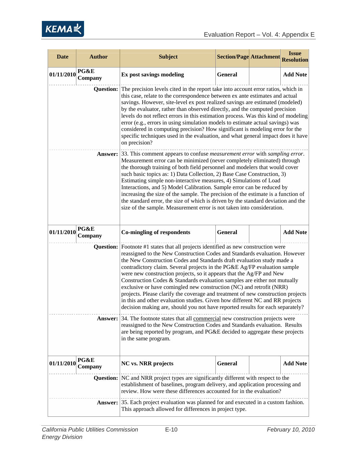

| <b>Date</b>                                                                                                                                                                                                                                                                                                                                                                                                                                                                                                                                                                                                                                                                                                                                        | <b>Author</b>   | <b>Subject</b>                                                                                                                                                                                                                                                                                                                                                                                                                                                                                                                                                                                                                                                                                                                                                                                                                                                                                                                                                                                                                                                                                             | <b>Section/Page Attachment Resolution</b> |  | <b>Issue</b>    |  |
|----------------------------------------------------------------------------------------------------------------------------------------------------------------------------------------------------------------------------------------------------------------------------------------------------------------------------------------------------------------------------------------------------------------------------------------------------------------------------------------------------------------------------------------------------------------------------------------------------------------------------------------------------------------------------------------------------------------------------------------------------|-----------------|------------------------------------------------------------------------------------------------------------------------------------------------------------------------------------------------------------------------------------------------------------------------------------------------------------------------------------------------------------------------------------------------------------------------------------------------------------------------------------------------------------------------------------------------------------------------------------------------------------------------------------------------------------------------------------------------------------------------------------------------------------------------------------------------------------------------------------------------------------------------------------------------------------------------------------------------------------------------------------------------------------------------------------------------------------------------------------------------------------|-------------------------------------------|--|-----------------|--|
| 01/11/2010                                                                                                                                                                                                                                                                                                                                                                                                                                                                                                                                                                                                                                                                                                                                         | PG&E<br>Company | Ex post savings modeling                                                                                                                                                                                                                                                                                                                                                                                                                                                                                                                                                                                                                                                                                                                                                                                                                                                                                                                                                                                                                                                                                   | <b>General</b>                            |  | <b>Add Note</b> |  |
|                                                                                                                                                                                                                                                                                                                                                                                                                                                                                                                                                                                                                                                                                                                                                    |                 | <b>Question:</b> The precision levels cited in the report take into account error ratios, which in<br>this case, relate to the correspondence between ex ante estimates and actual<br>savings. However, site-level ex post realized savings are estimated (modeled)<br>by the evaluator, rather than observed directly, and the computed precision<br>levels do not reflect errors in this estimation process. Was this kind of modeling<br>error (e.g., errors in using simulation models to estimate actual savings) was<br>considered in computing precision? How significant is modeling error for the<br>specific techniques used in the evaluation, and what general impact does it have<br>on precision?                                                                                                                                                                                                                                                                                                                                                                                            |                                           |  |                 |  |
| <b>Answer:</b> 33. This comment appears to confuse <i>measurement error</i> with <i>sampling error</i> .<br>Measurement error can be minimized (never completely eliminated) through<br>the thorough training of both field personnel and modelers that would cover<br>such basic topics as: 1) Data Collection, 2) Base Case Construction, 3)<br>Estimating simple non-interactive measures, 4) Simulations of Load<br>Interactions, and 5) Model Calibration. Sample error can be reduced by<br>increasing the size of the sample. The precision of the estimate is a function of<br>the standard error, the size of which is driven by the standard deviation and the<br>size of the sample. Measurement error is not taken into consideration. |                 |                                                                                                                                                                                                                                                                                                                                                                                                                                                                                                                                                                                                                                                                                                                                                                                                                                                                                                                                                                                                                                                                                                            |                                           |  |                 |  |
| 01/11/2010                                                                                                                                                                                                                                                                                                                                                                                                                                                                                                                                                                                                                                                                                                                                         | PG&E<br>Company | Co-mingling of respondents                                                                                                                                                                                                                                                                                                                                                                                                                                                                                                                                                                                                                                                                                                                                                                                                                                                                                                                                                                                                                                                                                 | <b>General</b>                            |  | <b>Add Note</b> |  |
|                                                                                                                                                                                                                                                                                                                                                                                                                                                                                                                                                                                                                                                                                                                                                    |                 | <b>Question:</b> Footnote #1 states that all projects identified as new construction were<br>reassigned to the New Construction Codes and Standards evaluation. However<br>the New Construction Codes and Standards draft evaluation study made a<br>contradictory claim. Several projects in the PG&E Ag/FP evaluation sample<br>were new construction projects, so it appears that the Ag/FP and New<br>Construction Codes & Standards evaluation samples are either not mutually<br>exclusive or have comingled new construction (NC) and retrofit (NRR)<br>projects. Please clarify the coverage and treatment of new construction projects<br>in this and other evaluation studies. Given how different NC and RR projects<br>decision making are, should you not have reported results for each separately?<br><b>Answer:</b> 34. The footnote states that all <b>commercial</b> new construction projects were<br>reassigned to the New Construction Codes and Standards evaluation. Results<br>are being reported by program, and PG&E decided to aggregate these projects<br>in the same program. |                                           |  |                 |  |
| 01/11/2010                                                                                                                                                                                                                                                                                                                                                                                                                                                                                                                                                                                                                                                                                                                                         | PG&E<br>Company | NC vs. NRR projects                                                                                                                                                                                                                                                                                                                                                                                                                                                                                                                                                                                                                                                                                                                                                                                                                                                                                                                                                                                                                                                                                        | <b>General</b>                            |  | <b>Add Note</b> |  |
|                                                                                                                                                                                                                                                                                                                                                                                                                                                                                                                                                                                                                                                                                                                                                    |                 | <b>Question:</b> NC and NRR project types are significantly different with respect to the<br>establishment of baselines, program delivery, and application processing and<br>review. How were these differences accounted for in the evaluation?                                                                                                                                                                                                                                                                                                                                                                                                                                                                                                                                                                                                                                                                                                                                                                                                                                                           |                                           |  |                 |  |
|                                                                                                                                                                                                                                                                                                                                                                                                                                                                                                                                                                                                                                                                                                                                                    |                 | <b>Answer:</b> 35. Each project evaluation was planned for and executed in a custom fashion.<br>This approach allowed for differences in project type.                                                                                                                                                                                                                                                                                                                                                                                                                                                                                                                                                                                                                                                                                                                                                                                                                                                                                                                                                     |                                           |  |                 |  |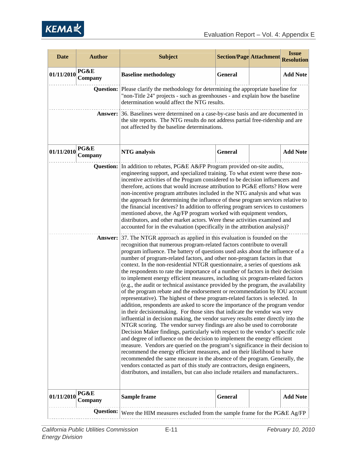

| Date                                                                                                                                                                                                                                                                                                                                                                                                                                                                                                                                                                                                                                                                                                                                                                                                                                                                                                                                                                                                                                                                                                                                                                                                                                                                                                                                                                                                                                                                                                                                                                                                                                                                                                                                                                                                                                                                                                                                                                                                                                                                                                                                                                                                                                                                                                                                                                                                                                                                                                                                                                                               | <b>Author</b>   | <b>Subject</b>                                                                                                                                                                                                                | <b>Section/Page Attachment</b> |  | <b>Issue</b><br><b>Resolution</b> |
|----------------------------------------------------------------------------------------------------------------------------------------------------------------------------------------------------------------------------------------------------------------------------------------------------------------------------------------------------------------------------------------------------------------------------------------------------------------------------------------------------------------------------------------------------------------------------------------------------------------------------------------------------------------------------------------------------------------------------------------------------------------------------------------------------------------------------------------------------------------------------------------------------------------------------------------------------------------------------------------------------------------------------------------------------------------------------------------------------------------------------------------------------------------------------------------------------------------------------------------------------------------------------------------------------------------------------------------------------------------------------------------------------------------------------------------------------------------------------------------------------------------------------------------------------------------------------------------------------------------------------------------------------------------------------------------------------------------------------------------------------------------------------------------------------------------------------------------------------------------------------------------------------------------------------------------------------------------------------------------------------------------------------------------------------------------------------------------------------------------------------------------------------------------------------------------------------------------------------------------------------------------------------------------------------------------------------------------------------------------------------------------------------------------------------------------------------------------------------------------------------------------------------------------------------------------------------------------------------|-----------------|-------------------------------------------------------------------------------------------------------------------------------------------------------------------------------------------------------------------------------|--------------------------------|--|-----------------------------------|
| 01/11/2010                                                                                                                                                                                                                                                                                                                                                                                                                                                                                                                                                                                                                                                                                                                                                                                                                                                                                                                                                                                                                                                                                                                                                                                                                                                                                                                                                                                                                                                                                                                                                                                                                                                                                                                                                                                                                                                                                                                                                                                                                                                                                                                                                                                                                                                                                                                                                                                                                                                                                                                                                                                         | PG&E<br>Company | <b>Baseline methodology</b>                                                                                                                                                                                                   | <b>General</b>                 |  | <b>Add Note</b>                   |
|                                                                                                                                                                                                                                                                                                                                                                                                                                                                                                                                                                                                                                                                                                                                                                                                                                                                                                                                                                                                                                                                                                                                                                                                                                                                                                                                                                                                                                                                                                                                                                                                                                                                                                                                                                                                                                                                                                                                                                                                                                                                                                                                                                                                                                                                                                                                                                                                                                                                                                                                                                                                    |                 | <b>Question:</b> Please clarify the methodology for determining the appropriate baseline for<br>"non-Title 24" projects - such as greenhouses - and explain how the baseline<br>determination would affect the NTG results.   |                                |  |                                   |
|                                                                                                                                                                                                                                                                                                                                                                                                                                                                                                                                                                                                                                                                                                                                                                                                                                                                                                                                                                                                                                                                                                                                                                                                                                                                                                                                                                                                                                                                                                                                                                                                                                                                                                                                                                                                                                                                                                                                                                                                                                                                                                                                                                                                                                                                                                                                                                                                                                                                                                                                                                                                    |                 | <b>Answer:</b> 36. Baselines were determined on a case-by-case basis and are documented in<br>the site reports. The NTG results do not address partial free-ridership and are<br>not affected by the baseline determinations. |                                |  |                                   |
|                                                                                                                                                                                                                                                                                                                                                                                                                                                                                                                                                                                                                                                                                                                                                                                                                                                                                                                                                                                                                                                                                                                                                                                                                                                                                                                                                                                                                                                                                                                                                                                                                                                                                                                                                                                                                                                                                                                                                                                                                                                                                                                                                                                                                                                                                                                                                                                                                                                                                                                                                                                                    | PG&E<br>Company | <b>NTG</b> analysis                                                                                                                                                                                                           | <b>General</b>                 |  | <b>Add Note</b>                   |
| 01/11/2010<br><b>Question:</b> In addition to rebates, PG&E A&FP Program provided on-site audits,<br>engineering support, and specialized training. To what extent were these non-<br>incentive activities of the Program considered to be decision influencers and<br>therefore, actions that would increase attribution to PG&E efforts? How were<br>non-incentive program attributes included in the NTG analysis and what was<br>the approach for determining the influence of these program services relative to<br>the financial incentives? In addition to offering program services to customers<br>mentioned above, the Ag/FP program worked with equipment vendors,<br>distributors, and other market actors. Were these activities examined and<br>accounted for in the evaluation (specifically in the attribution analysis)?<br><b>Answer:</b> 37. The NTGR approach as applied in this evaluation is founded on the<br>recognition that numerous program-related factors contribute to overall<br>program influence. The battery of questions used asks about the influence of a<br>number of program-related factors, and other non-program factors in that<br>context. In the non-residential NTGR questionnaire, a series of questions ask<br>the respondents to rate the importance of a number of factors in their decision<br>to implement energy efficient measures, including six program-related factors<br>(e.g., the audit or technical assistance provided by the program, the availability<br>of the program rebate and the endorsement or recommendation by IOU account<br>representative). The highest of these program-related factors is selected. In<br>addition, respondents are asked to score the importance of the program vendor<br>in their decisionmaking. For those sites that indicate the vendor was very<br>influential in decision making, the vendor survey results enter directly into the<br>NTGR scoring. The vendor survey findings are also be used to corroborate<br>Decision Maker findings, particularly with respect to the vendor's specific role<br>and degree of influence on the decision to implement the energy efficient<br>measure. Vendors are queried on the program's significance in their decision to<br>recommend the energy efficient measures, and on their likelihood to have<br>recommended the same measure in the absence of the program. Generally, the<br>vendors contacted as part of this study are contractors, design engineers,<br>distributors, and installers, but can also include retailers and manufacturers |                 |                                                                                                                                                                                                                               |                                |  |                                   |
| 01/11/2010                                                                                                                                                                                                                                                                                                                                                                                                                                                                                                                                                                                                                                                                                                                                                                                                                                                                                                                                                                                                                                                                                                                                                                                                                                                                                                                                                                                                                                                                                                                                                                                                                                                                                                                                                                                                                                                                                                                                                                                                                                                                                                                                                                                                                                                                                                                                                                                                                                                                                                                                                                                         | PG&E<br>Company | Sample frame                                                                                                                                                                                                                  | <b>General</b>                 |  | <b>Add Note</b>                   |
|                                                                                                                                                                                                                                                                                                                                                                                                                                                                                                                                                                                                                                                                                                                                                                                                                                                                                                                                                                                                                                                                                                                                                                                                                                                                                                                                                                                                                                                                                                                                                                                                                                                                                                                                                                                                                                                                                                                                                                                                                                                                                                                                                                                                                                                                                                                                                                                                                                                                                                                                                                                                    | Question:       | Were the HIM measures excluded from the sample frame for the PG&E Ag/FP                                                                                                                                                       |                                |  |                                   |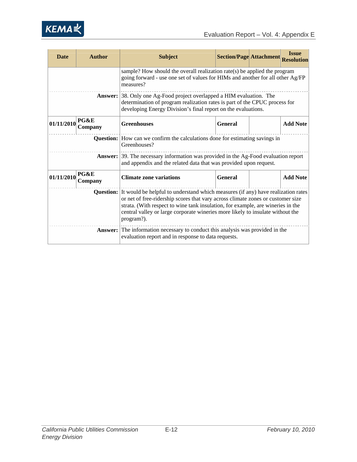

| <b>Date</b> | <b>Author</b>   | <b>Subject</b>                                                                                                                                                                                                                                                                                                                                                          | <b>Section/Page Attachment</b> |  | <b>Issue</b><br><b>Resolution</b> |
|-------------|-----------------|-------------------------------------------------------------------------------------------------------------------------------------------------------------------------------------------------------------------------------------------------------------------------------------------------------------------------------------------------------------------------|--------------------------------|--|-----------------------------------|
|             |                 | sample? How should the overall realization rate(s) be applied the program<br>going forward - use one set of values for HIMs and another for all other Ag/FP<br>measures?                                                                                                                                                                                                |                                |  |                                   |
|             |                 | Answer: 38. Only one Ag-Food project overlapped a HIM evaluation. The<br>determination of program realization rates is part of the CPUC process for<br>developing Energy Division's final report on the evaluations.                                                                                                                                                    |                                |  |                                   |
| 01/11/2010  | PG&E<br>Company | <b>Greenhouses</b>                                                                                                                                                                                                                                                                                                                                                      | <b>General</b>                 |  | <b>Add Note</b>                   |
|             |                 | <b>Question:</b> How can we confirm the calculations done for estimating savings in<br>Greenhouses?                                                                                                                                                                                                                                                                     |                                |  |                                   |
|             |                 | <b>Answer:</b> 39. The necessary information was provided in the Ag-Food evaluation report<br>and appendix and the related data that was provided upon request.                                                                                                                                                                                                         |                                |  |                                   |
| 01/11/2010  | PG&E<br>Company | <b>Climate zone variations</b>                                                                                                                                                                                                                                                                                                                                          | General                        |  | <b>Add Note</b>                   |
|             |                 | <b>Question:</b> It would be helpful to understand which measures (if any) have realization rates<br>or net of free-ridership scores that vary across climate zones or customer size<br>strata. (With respect to wine tank insulation, for example, are wineries in the<br>central valley or large corporate wineries more likely to insulate without the<br>program?). |                                |  |                                   |
|             |                 | <b>Answer:</b> The information necessary to conduct this analysis was provided in the<br>evaluation report and in response to data requests.                                                                                                                                                                                                                            |                                |  |                                   |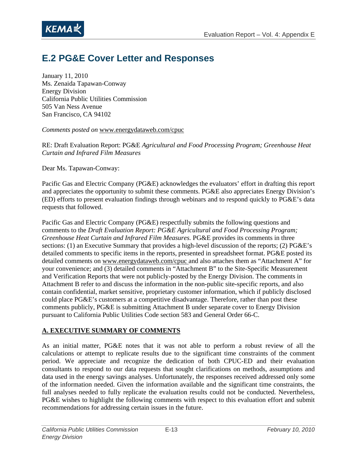<span id="page-16-0"></span>

# **E.2 PG&E Cover Letter and Responses**

January 11, 2010 Ms. Zenaida Tapawan-Conway Energy Division California Public Utilities Commission 505 Van Ness Avenue San Francisco, CA 94102

*Comments posted on* www.energydataweb.com/cpuc

RE: Draft Evaluation Report: PG&E *Agricultural and Food Processing Program; Greenhouse Heat Curtain and Infrared Film Measures* 

Dear Ms. Tapawan-Conway:

Pacific Gas and Electric Company (PG&E) acknowledges the evaluators' effort in drafting this report and appreciates the opportunity to submit these comments. PG&E also appreciates Energy Division's (ED) efforts to present evaluation findings through webinars and to respond quickly to PG&E's data requests that followed.

Pacific Gas and Electric Company (PG&E) respectfully submits the following questions and comments to the *Draft Evaluation Report: PG&E Agricultural and Food Processing Program; Greenhouse Heat Curtain and Infrared Film Measures.* PG&E provides its comments in three sections: (1) an Executive Summary that provides a high-level discussion of the reports; (2) PG&E's detailed comments to specific items in the reports, presented in spreadsheet format. PG&E posted its detailed comments on www.energydataweb.com/cpuc and also attaches them as "Attachment A" for your convenience; and (3) detailed comments in "Attachment B" to the Site-Specific Measurement and Verification Reports that were not publicly-posted by the Energy Division. The comments in Attachment B refer to and discuss the information in the non-public site-specific reports, and also contain confidential, market sensitive, proprietary customer information, which if publicly disclosed could place PG&E's customers at a competitive disadvantage. Therefore, rather than post these comments publicly, PG&E is submitting Attachment B under separate cover to Energy Division pursuant to California Public Utilities Code section 583 and General Order 66-C.

## **A. EXECUTIVE SUMMARY OF COMMENTS**

As an initial matter, PG&E notes that it was not able to perform a robust review of all the calculations or attempt to replicate results due to the significant time constraints of the comment period. We appreciate and recognize the dedication of both CPUC-ED and their evaluation consultants to respond to our data requests that sought clarifications on methods, assumptions and data used in the energy savings analyses. Unfortunately, the responses received addressed only some of the information needed. Given the information available and the significant time constraints, the full analyses needed to fully replicate the evaluation results could not be conducted. Nevertheless, PG&E wishes to highlight the following comments with respect to this evaluation effort and submit recommendations for addressing certain issues in the future.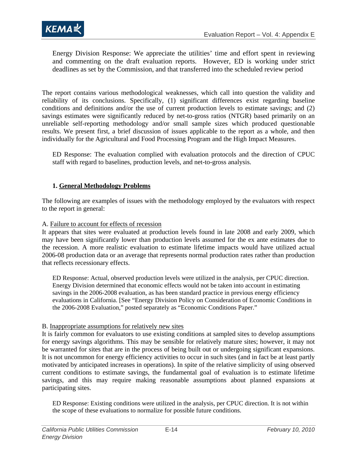

Energy Division Response: We appreciate the utilities' time and effort spent in reviewing and commenting on the draft evaluation reports. However, ED is working under strict deadlines as set by the Commission, and that transferred into the scheduled review period

The report contains various methodological weaknesses, which call into question the validity and reliability of its conclusions. Specifically, (1) significant differences exist regarding baseline conditions and definitions and/or the use of current production levels to estimate savings; and (2) savings estimates were significantly reduced by net-to-gross ratios (NTGR) based primarily on an unreliable self-reporting methodology and/or small sample sizes which produced questionable results. We present first, a brief discussion of issues applicable to the report as a whole, and then individually for the Agricultural and Food Processing Program and the High Impact Measures.

ED Response: The evaluation complied with evaluation protocols and the direction of CPUC staff with regard to baselines, production levels, and net-to-gross analysis.

#### **1. General Methodology Problems**

The following are examples of issues with the methodology employed by the evaluators with respect to the report in general:

#### A. Failure to account for effects of recession

It appears that sites were evaluated at production levels found in late 2008 and early 2009, which may have been significantly lower than production levels assumed for the ex ante estimates due to the recession. A more realistic evaluation to estimate lifetime impacts would have utilized actual 2006-08 production data or an average that represents normal production rates rather than production that reflects recessionary effects.

ED Response: Actual, observed production levels were utilized in the analysis, per CPUC direction. Energy Division determined that economic effects would not be taken into account in estimating savings in the 2006-2008 evaluation, as has been standard practice in previous energy efficiency evaluations in California. [See "Energy Division Policy on Consideration of Economic Conditions in the 2006-2008 Evaluation," posted separately as "Economic Conditions Paper."

#### B. Inappropriate assumptions for relatively new sites

It is fairly common for evaluators to use existing conditions at sampled sites to develop assumptions for energy savings algorithms. This may be sensible for relatively mature sites; however, it may not be warranted for sites that are in the process of being built out or undergoing significant expansions. It is not uncommon for energy efficiency activities to occur in such sites (and in fact be at least partly motivated by anticipated increases in operations). In spite of the relative simplicity of using observed current conditions to estimate savings, the fundamental goal of evaluation is to estimate lifetime savings, and this may require making reasonable assumptions about planned expansions at participating sites.

ED Response: Existing conditions were utilized in the analysis, per CPUC direction. It is not within the scope of these evaluations to normalize for possible future conditions.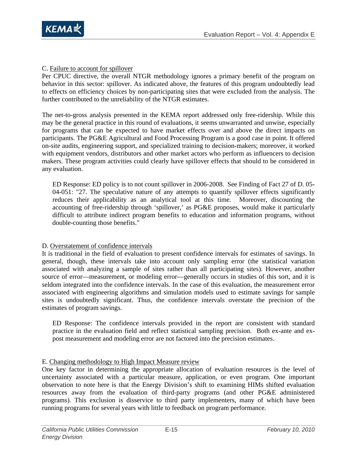

#### C. Failure to account for spillover

Per CPUC directive, the overall NTGR methodology ignores a primary benefit of the program on behavior in this sector: spillover. As indicated above, the features of this program undoubtedly lead to effects on efficiency choices by non-participating sites that were excluded from the analysis. The further contributed to the unreliability of the NTGR estimates.

The net-to-gross analysis presented in the KEMA report addressed only free-ridership. While this may be the general practice in this round of evaluations, it seems unwarranted and unwise, especially for programs that can be expected to have market effects over and above the direct impacts on participants. The PG&E Agricultural and Food Processing Program is a good case in point. It offered on-site audits, engineering support, and specialized training to decision-makers; moreover, it worked with equipment vendors, distributors and other market actors who perform as influencers to decision makers. These program activities could clearly have spillover effects that should to be considered in any evaluation.

ED Response: ED policy is to not count spillover in 2006-2008. See Finding of Fact 27 of D. 05- 04-051: "27. The speculative nature of any attempts to quantify spillover effects significantly reduces their applicability as an analytical tool at this time. Moreover, discounting the accounting of free-ridership through 'spillover,' as PG&E proposes, would make it particularly difficult to attribute indirect program benefits to education and information programs, without double-counting those benefits."

#### D. Overstatement of confidence intervals

It is traditional in the field of evaluation to present confidence intervals for estimates of savings. In general, though, these intervals take into account only sampling error (the statistical variation associated with analyzing a sample of sites rather than all participating sites). However, another source of error—measurement, or modeling error—generally occurs in studies of this sort, and it is seldom integrated into the confidence intervals. In the case of this evaluation, the measurement error associated with engineering algorithms and simulation models used to estimate savings for sample sites is undoubtedly significant. Thus, the confidence intervals overstate the precision of the estimates of program savings.

ED Response: The confidence intervals provided in the report are consistent with standard practice in the evaluation field and reflect statistical sampling precision. Both ex-ante and expost measurement and modeling error are not factored into the precision estimates.

#### E. Changing methodology to High Impact Measure review

One key factor in determining the appropriate allocation of evaluation resources is the level of uncertainty associated with a particular measure, application, or even program. One important observation to note here is that the Energy Division's shift to examining HIMs shifted evaluation resources away from the evaluation of third-party programs (and other PG&E administered programs). This exclusion is disservice to third party implementers, many of which have been running programs for several years with little to feedback on program performance.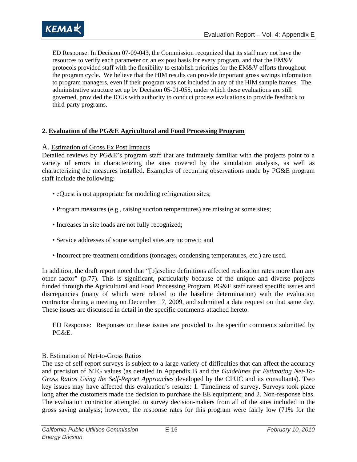

ED Response: In Decision 07-09-043, the Commission recognized that its staff may not have the resources to verify each parameter on an ex post basis for every program, and that the EM&V protocols provided staff with the flexibility to establish priorities for the EM&V efforts throughout the program cycle. We believe that the HIM results can provide important gross savings information to program managers, even if their program was not included in any of the HIM sample frames. The administrative structure set up by Decision 05-01-055, under which these evaluations are still governed, provided the IOUs with authority to conduct process evaluations to provide feedback to third-party programs.

#### **2. Evaluation of the PG&E Agricultural and Food Processing Program**

#### A. Estimation of Gross Ex Post Impacts

Detailed reviews by PG&E's program staff that are intimately familiar with the projects point to a variety of errors in characterizing the sites covered by the simulation analysis, as well as characterizing the measures installed. Examples of recurring observations made by PG&E program staff include the following:

- eQuest is not appropriate for modeling refrigeration sites;
- Program measures (e.g., raising suction temperatures) are missing at some sites;
- Increases in site loads are not fully recognized;
- Service addresses of some sampled sites are incorrect; and
- Incorrect pre-treatment conditions (tonnages, condensing temperatures, etc.) are used.

In addition, the draft report noted that "[b]aseline definitions affected realization rates more than any other factor" (p.77). This is significant, particularly because of the unique and diverse projects funded through the Agricultural and Food Processing Program. PG&E staff raised specific issues and discrepancies (many of which were related to the baseline determination) with the evaluation contractor during a meeting on December 17, 2009, and submitted a data request on that same day. These issues are discussed in detail in the specific comments attached hereto.

ED Response: Responses on these issues are provided to the specific comments submitted by PG&E.

#### B. Estimation of Net-to-Gross Ratios

The use of self-report surveys is subject to a large variety of difficulties that can affect the accuracy and precision of NTG values (as detailed in Appendix B and the *Guidelines for Estimating Net-To-Gross Ratios Using the Self-Report Approaches* developed by the CPUC and its consultants). Two key issues may have affected this evaluation's results: 1. Timeliness of survey. Surveys took place long after the customers made the decision to purchase the EE equipment; and 2. Non-response bias. The evaluation contractor attempted to survey decision-makers from all of the sites included in the gross saving analysis; however, the response rates for this program were fairly low (71% for the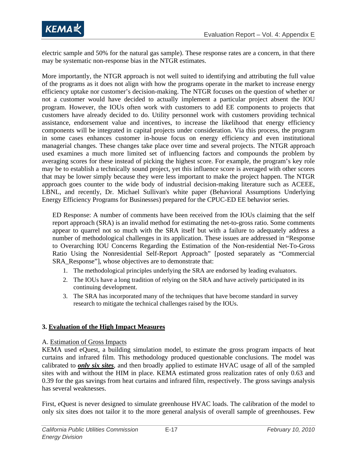

electric sample and 50% for the natural gas sample). These response rates are a concern, in that there may be systematic non-response bias in the NTGR estimates.

More importantly, the NTGR approach is not well suited to identifying and attributing the full value of the programs as it does not align with how the programs operate in the market to increase energy efficiency uptake nor customer's decision-making. The NTGR focuses on the question of whether or not a customer would have decided to actually implement a particular project absent the IOU program. However, the IOUs often work with customers to add EE components to projects that customers have already decided to do. Utility personnel work with customers providing technical assistance, endorsement value and incentives, to increase the likelihood that energy efficiency components will be integrated in capital projects under consideration. Via this process, the program in some cases enhances customer in-house focus on energy efficiency and even institutional managerial changes. These changes take place over time and several projects. The NTGR approach used examines a much more limited set of influencing factors and compounds the problem by averaging scores for these instead of picking the highest score. For example, the program's key role may be to establish a technically sound project, yet this influence score is averaged with other scores that may be lower simply because they were less important to make the project happen. The NTGR approach goes counter to the wide body of industrial decision-making literature such as ACEEE, LBNL, and recently, Dr. Michael Sullivan's white paper (Behavioral Assumptions Underlying Energy Efficiency Programs for Businesses) prepared for the CPUC-ED EE behavior series.

ED Response: A number of comments have been received from the IOUs claiming that the self report approach (SRA) is an invalid method for estimating the net-to-gross ratio. Some comments appear to quarrel not so much with the SRA itself but with a failure to adequately address a number of methodological challenges in its application. These issues are addressed in "Response to Overarching IOU Concerns Regarding the Estimation of the Non-residential Net-To-Gross Ratio Using the Nonresidential Self-Report Approach" [posted separately as "Commercial SRA\_Response"], whose objectives are to demonstrate that:

- 1. The methodological principles underlying the SRA are endorsed by leading evaluators.
- 2. The IOUs have a long tradition of relying on the SRA and have actively participated in its continuing development.
- 3. The SRA has incorporated many of the techniques that have become standard in survey research to mitigate the technical challenges raised by the IOUs.

## **3. Evaluation of the High Impact Measures**

#### A. Estimation of Gross Impacts

KEMA used eQuest, a building simulation model, to estimate the gross program impacts of heat curtains and infrared film. This methodology produced questionable conclusions. The model was calibrated to *only six sites*, and then broadly applied to estimate HVAC usage of all of the sampled sites with and without the HIM in place. KEMA estimated gross realization rates of only 0.63 and 0.39 for the gas savings from heat curtains and infrared film, respectively. The gross savings analysis has several weaknesses.

First, eQuest is never designed to simulate greenhouse HVAC loads. The calibration of the model to only six sites does not tailor it to the more general analysis of overall sample of greenhouses. Few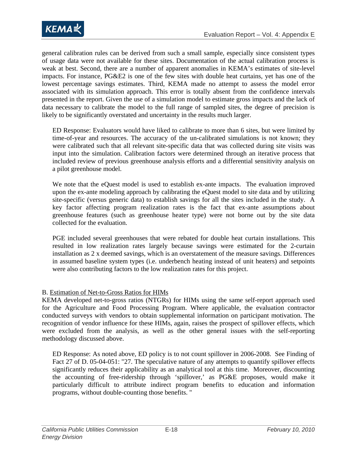

general calibration rules can be derived from such a small sample, especially since consistent types of usage data were not available for these sites. Documentation of the actual calibration process is weak at best. Second, there are a number of apparent anomalies in KEMA's estimates of site-level impacts. For instance, PG&E2 is one of the few sites with double heat curtains, yet has one of the lowest percentage savings estimates. Third, KEMA made no attempt to assess the model error associated with its simulation approach. This error is totally absent from the confidence intervals presented in the report. Given the use of a simulation model to estimate gross impacts and the lack of data necessary to calibrate the model to the full range of sampled sites, the degree of precision is likely to be significantly overstated and uncertainty in the results much larger.

ED Response: Evaluators would have liked to calibrate to more than 6 sites, but were limited by time-of-year and resources. The accuracy of the un-calibrated simulations is not known; they were calibrated such that all relevant site-specific data that was collected during site visits was input into the simulation. Calibration factors were determined through an iterative process that included review of previous greenhouse analysis efforts and a differential sensitivity analysis on a pilot greenhouse model.

We note that the eQuest model is used to establish ex-ante impacts. The evaluation improved upon the ex-ante modeling approach by calibrating the eQuest model to site data and by utilizing site-specific (versus generic data) to establish savings for all the sites included in the study. A key factor affecting program realization rates is the fact that ex-ante assumptions about greenhouse features (such as greenhouse heater type) were not borne out by the site data collected for the evaluation.

PGE included several greenhouses that were rebated for double heat curtain installations. This resulted in low realization rates largely because savings were estimated for the 2-curtain installation as 2 x deemed savings, which is an overstatement of the measure savings. Differences in assumed baseline system types (i.e. underbench heating instead of unit heaters) and setpoints were also contributing factors to the low realization rates for this project.

#### B. Estimation of Net-to-Gross Ratios for HIMs

KEMA developed net-to-gross ratios (NTGRs) for HIMs using the same self-report approach used for the Agriculture and Food Processing Program. Where applicable, the evaluation contractor conducted surveys with vendors to obtain supplemental information on participant motivation. The recognition of vendor influence for these HIMs, again, raises the prospect of spillover effects, which were excluded from the analysis, as well as the other general issues with the self-reporting methodology discussed above.

ED Response: As noted above, ED policy is to not count spillover in 2006-2008. See Finding of Fact 27 of D. 05-04-051: "27. The speculative nature of any attempts to quantify spillover effects significantly reduces their applicability as an analytical tool at this time. Moreover, discounting the accounting of free-ridership through 'spillover,' as PG&E proposes, would make it particularly difficult to attribute indirect program benefits to education and information programs, without double-counting those benefits. "